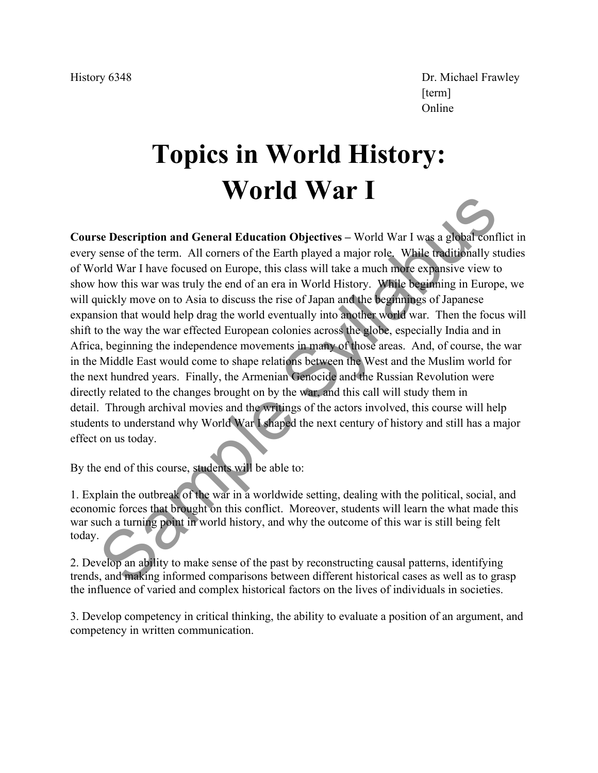History 6348 Dr. Michael Frawley  $[\mathrm{term}]$ Online

# **Topics in World History: World War I**

**Course Description and General Education Objectives –** World War I was a global conflict in every sense of the term. All corners of the Earth played a major role. While traditionally studies of World War I have focused on Europe, this class will take a much more expansive view to show how this war was truly the end of an era in World History. While beginning in Europe, we will quickly move on to Asia to discuss the rise of Japan and the beginnings of Japanese expansion that would help drag the world eventually into another world war. Then the focus will shift to the way the war effected European colonies across the globe, especially India and in Africa, beginning the independence movements in many of those areas. And, of course, the war in the Middle East would come to shape relations between the West and the Muslim world for the next hundred years. Finally, the Armenian Genocide and the Russian Revolution were directly related to the changes brought on by the war, and this call will study them in detail. Through archival movies and the writings of the actors involved, this course will help students to understand why World War I shaped the next century of history and still has a major effect on us today. **SCONGIGN ACTIVE SYMPTE CONTRANT AND SET ASSEMBLE THE SYSTEM SET AND A SET AND A SET AND NOT SET AND NOT SET AND NOT SET AND NOT SET AND NOT SET AND NOT SET AND NOT SET AND NOT SET AND NOT SET AND NOT SET AND NOT SET AND N** 

By the end of this course, students will be able to:

1. Explain the outbreak of the war in a worldwide setting, dealing with the political, social, and economic forces that brought on this conflict. Moreover, students will learn the what made this war such a turning point in world history, and why the outcome of this war is still being felt today.

2. Develop an ability to make sense of the past by reconstructing causal patterns, identifying trends, and making informed comparisons between different historical cases as well as to grasp the influence of varied and complex historical factors on the lives of individuals in societies.

3. Develop competency in critical thinking, the ability to evaluate a position of an argument, and competency in written communication.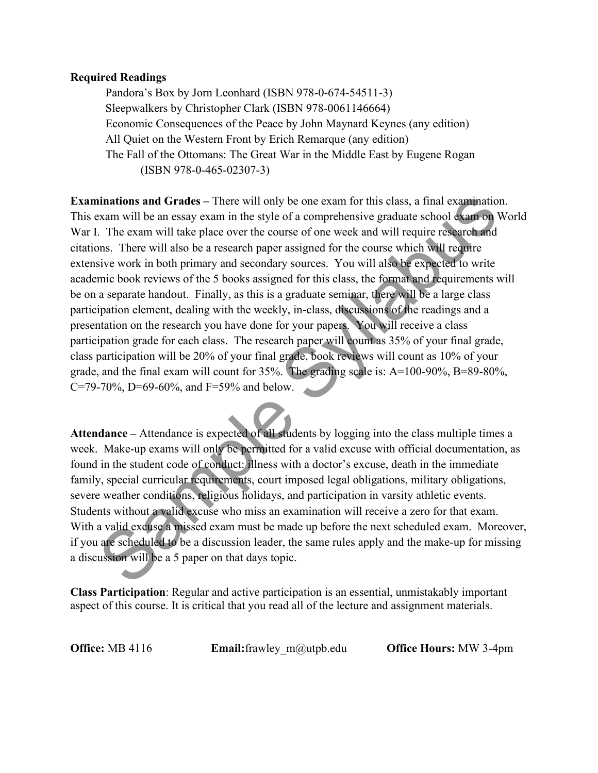#### **Required Readings**

 Pandora's Box by Jorn Leonhard (ISBN 978-0-674-54511-3) Sleepwalkers by Christopher Clark (ISBN 978-0061146664) Economic Consequences of the Peace by John Maynard Keynes (any edition) All Quiet on the Western Front by Erich Remarque (any edition) The Fall of the Ottomans: The Great War in the Middle East by Eugene Rogan (ISBN 978-0-465-02307-3)

**Examinations and Grades** – There will only be one exam for this class, a final examination. This exam will be an essay exam in the style of a comprehensive graduate school exam on World War I. The exam will take place over the course of one week and will require research and citations. There will also be a research paper assigned for the course which will require extensive work in both primary and secondary sources. You will also be expected to write academic book reviews of the 5 books assigned for this class, the format and requirements will be on a separate handout. Finally, as this is a graduate seminar, there will be a large class participation element, dealing with the weekly, in-class, discussions of the readings and a presentation on the research you have done for your papers. You will receive a class participation grade for each class. The research paper will count as 35% of your final grade, class participation will be 20% of your final grade, book reviews will count as 10% of your grade, and the final exam will count for 35%. The grading scale is: A=100-90%, B=89-80%, C=79-70%, D=69-60%, and F=59% and below. ninations and Grades – There will only be one exam for this class, a final examinatio<br>
raxm will be an essay exam in the style of a comprehensive graduate shood examp on. The exam will take place over the course of one we

**Attendance –** Attendance is expected of all students by logging into the class multiple times a week. Make-up exams will only be permitted for a valid excuse with official documentation, as found in the student code of conduct: illness with a doctor's excuse, death in the immediate family, special curricular requirements, court imposed legal obligations, military obligations, severe weather conditions, religious holidays, and participation in varsity athletic events. Students without a valid excuse who miss an examination will receive a zero for that exam. With a valid excuse a missed exam must be made up before the next scheduled exam. Moreover, if you are scheduled to be a discussion leader, the same rules apply and the make-up for missing a discussion will be a 5 paper on that days topic.

**Class Participation**: Regular and active participation is an essential, unmistakably important aspect of this course. It is critical that you read all of the lecture and assignment materials.

**Office:** MB 4116 **Email:**frawley m@utpb.edu **Office Hours:** MW 3-4pm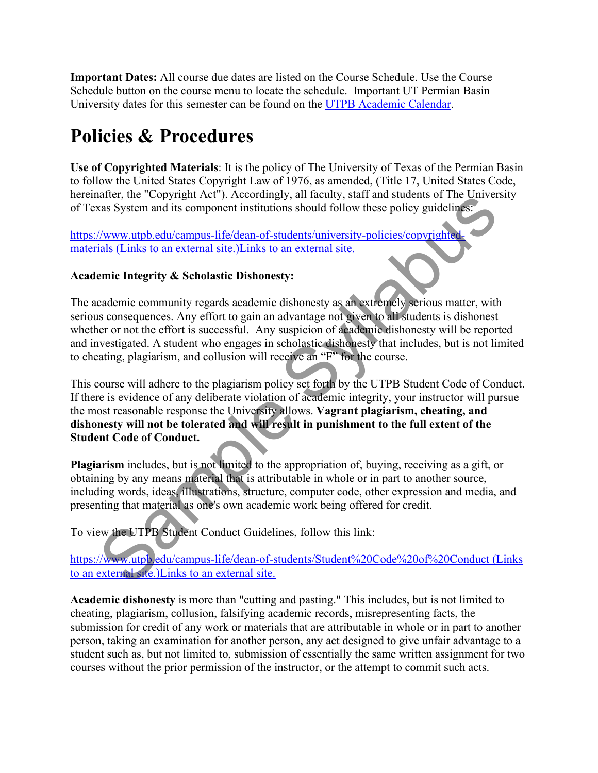**Important Dates:** All course due dates are listed on the Course Schedule. Use the Course Schedule button on the course menu to locate the schedule.Important UT Permian Basin University dates for this semester can be found on the [UTPB Academic Calendar.](http://aa.utpb.edu/registrar/academic-calendar/)

# **Policies & Procedures**

**Use of Copyrighted Materials**: It is the policy of The University of Texas of the Permian Basin to follow the United States Copyright Law of 1976, as amended, (Title 17, United States Code, hereinafter, the "Copyright Act"). Accordingly, all faculty, staff and students of The University of Texas System and its component institutions should follow these policy guidelines:

https://www.utpb.edu/campus-life/dean-of-students/university-policies/copyrighte materials (Links to an external site.)Links to an external site.

### **Academic Integrity & Scholastic Dishonesty:**

The academic community regards academic dishonesty as an extremely serious matter, with serious consequences. Any effort to gain an advantage not given to all students is dishonest whether or not the effort is successful. Any suspicion of academic dishonesty will be reported and investigated. A student who engages in scholastic dishonesty that includes, but is not limited to cheating, plagiarism, and collusion will receive an "F" for the course.

This course will adhere to the plagiarism policy set forth by the UTPB Student Code of Conduct. If there is evidence of any deliberate violation of academic integrity, your instructor will pursue the most reasonable response the University allows. **Vagrant plagiarism, cheating, and dishonesty will not be tolerated and will result in punishment to the full extent of the Student Code of Conduct.** mater, are Copympat Act ). Accordingly, ari actually, said and students of real converting the distributions should follow these policy guidelings.<br>
Stars System and its component institutions should follow these policy gu

**Plagiarism** includes, but is not limited to the appropriation of, buying, receiving as a gift, or obtaining by any means material that is attributable in whole or in part to another source, including words, ideas, illustrations, structure, computer code, other expression and media, and presenting that material as one's own academic work being offered for credit.

To view the UTPB Student Conduct Guidelines, follow this link:

https://www.utpb.edu/campus-life/dean-of-students/Student%20Code%20of%20Conduct (Links to an external site.)Links to an external site.

**Academic dishonesty** is more than "cutting and pasting." This includes, but is not limited to cheating, plagiarism, collusion, falsifying academic records, misrepresenting facts, the submission for credit of any work or materials that are attributable in whole or in part to another person, taking an examination for another person, any act designed to give unfair advantage to a student such as, but not limited to, submission of essentially the same written assignment for two courses without the prior permission of the instructor, or the attempt to commit such acts.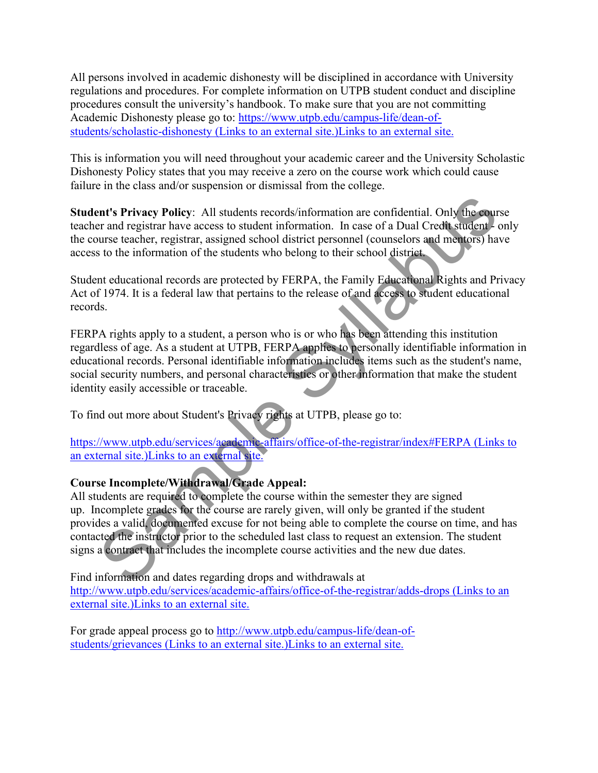All persons involved in academic dishonesty will be disciplined in accordance with University regulations and procedures. For complete information on UTPB student conduct and discipline procedures consult the university's handbook. To make sure that you are not committing Academic Dishonesty please go to: [https://www.utpb.edu/campus-life/dean-of](https://www.utpb.edu/campus-life/dean-of-students/scholastic-dishonesty)[students/scholastic-dishonesty \(Links to an external site.\)Links to an external site.](https://www.utpb.edu/campus-life/dean-of-students/scholastic-dishonesty)

This is information you will need throughout your academic career and the University Scholastic Dishonesty Policy states that you may receive a zero on the course work which could cause failure in the class and/or suspension or dismissal from the college.

**Student's Privacy Policy**: All students records/information are confidential. Only the course teacher and registrar have access to student information. In case of a Dual Credit student - only the course teacher, registrar, assigned school district personnel (counselors and mentors) have access to the information of the students who belong to their school district.

Student educational records are protected by FERPA, the Family Educational Rights and Privacy Act of 1974. It is a federal law that pertains to the release of and access to student educational records.

FERPA rights apply to a student, a person who is or who has been attending this institution regardless of age. As a student at UTPB, FERPA applies to personally identifiable information in educational records. Personal identifiable information includes items such as the student's name, social security numbers, and personal characteristics or other information that make the student identity easily accessible or traceable.

To find out more about Student's Privacy rights at UTPB, please go to:

https://www.utpb.edu/services/academic-affairs/office-of-the-registrar/index#FERPA (Links to an external site.)Links to an external site.

# **Course Incomplete/Withdrawal/Grade Appeal:**

All students are required to complete the course within the semester they are signed up. Incomplete grades for the course are rarely given, will only be granted if the student provides a valid, documented excuse for not being able to complete the course on time, and has contacted the instructor prior to the scheduled last class to request an extension. The student signs a contract that includes the incomplete course activities and the new due dates. ent's Privacy Policy: All students records/information are confidential. Only the cours and registra have access to student information. In case of a Dual Credit students unrest teacher, registrar, assigned school district

Find information and dates regarding drops and withdrawals at [http://www.utpb.edu/services/academic-affairs/office-of-the-registrar/adds-drops \(Links to an](http://www.utpb.edu/services/academic-affairs/office-of-the-registrar/adds-drops)  [external site.\)Links to an external site.](http://www.utpb.edu/services/academic-affairs/office-of-the-registrar/adds-drops) 

For grade appeal process go to [http://www.utpb.edu/campus-life/dean-of](http://www.utpb.edu/campus-life/dean-of-students/grievances)[students/grievances \(Links to an external site.\)Links to an external site.](http://www.utpb.edu/campus-life/dean-of-students/grievances)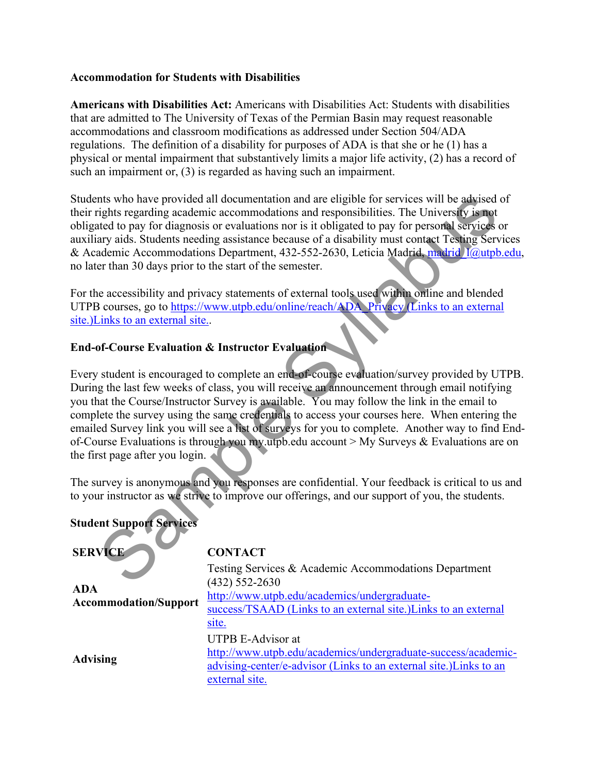#### **Accommodation for Students with Disabilities**

**Americans with Disabilities Act:** Americans with Disabilities Act: Students with disabilities that are admitted to The University of Texas of the Permian Basin may request reasonable accommodations and classroom modifications as addressed under Section 504/ADA regulations. The definition of a disability for purposes of ADA is that she or he (1) has a physical or mental impairment that substantively limits a major life activity, (2) has a record of such an impairment or, (3) is regarded as having such an impairment.

Students who have provided all documentation and are eligible for services will be advised of their rights regarding academic accommodations and responsibilities. The University is not obligated to pay for diagnosis or evaluations nor is it obligated to pay for personal services or auxiliary aids. Students needing assistance because of a disability must contact Testing Services & Academic Accommodations Department, 432-552-2630, Leticia Madrid, madrid I@utpb.edu, no later than 30 days prior to the start of the semester.

For the accessibility and privacy statements of external tools used within online and blended UTPB courses, go to https://www.utpb.edu/online/reach/ADA\_Privacy (Links to an external site.)Links to an external site..

# **End-of-Course Evaluation & Instructor Evaluation**

Every student is encouraged to complete an end-of-course evaluation/survey provided by UTPB. During the last few weeks of class, you will receive an announcement through email notifying you that the Course/Instructor Survey is available. You may follow the link in the email to complete the survey using the same credentials to access your courses here. When entering the emailed Survey link you will see a list of surveys for you to complete. Another way to find Endof-Course Evaluations is through you my.utpb.edu account > My Surveys & Evaluations are on the first page after you login. The University and the state of the state of the state of the state of the state of the state of the state of the state of the state of the state of the state of the state of the state of the state of the state of the stat

The survey is anonymous and you responses are confidential. Your feedback is critical to us and to your instructor as we strive to improve our offerings, and our support of you, the students.

| <b>Student Support Services</b>            |                                                                                                                                                                                                     |
|--------------------------------------------|-----------------------------------------------------------------------------------------------------------------------------------------------------------------------------------------------------|
| <b>SERVICE</b>                             | <b>CONTACT</b>                                                                                                                                                                                      |
| <b>ADA</b><br><b>Accommodation/Support</b> | Testing Services & Academic Accommodations Department<br>(432) 552-2630<br>http://www.utpb.edu/academics/undergraduate-<br>success/TSAAD (Links to an external site.) Links to an external<br>site. |
| <b>Advising</b>                            | <b>UTPB E-Advisor at</b><br>http://www.utpb.edu/academics/undergraduate-success/academic-<br>advising-center/e-advisor (Links to an external site.) Links to an<br>external site.                   |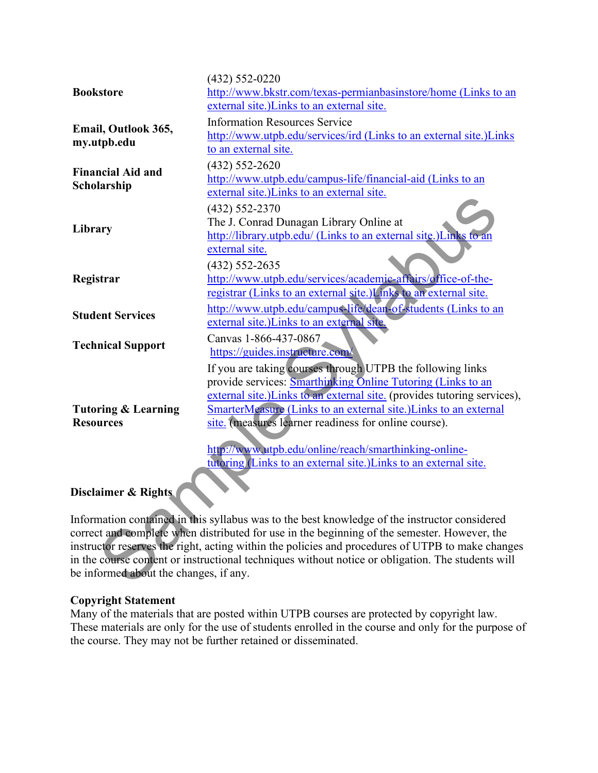| <b>Bookstore</b>                        | $(432) 552 - 0220$                                                                                                                |
|-----------------------------------------|-----------------------------------------------------------------------------------------------------------------------------------|
|                                         | http://www.bkstr.com/texas-permianbasinstore/home (Links to an                                                                    |
|                                         | external site.) Links to an external site.                                                                                        |
| Email, Outlook 365,<br>my.utpb.edu      | <b>Information Resources Service</b>                                                                                              |
|                                         | http://www.utpb.edu/services/ird (Links to an external site.)Links                                                                |
|                                         | to an external site.                                                                                                              |
| <b>Financial Aid and</b><br>Scholarship | $(432) 552 - 2620$                                                                                                                |
|                                         | http://www.utpb.edu/campus-life/financial-aid (Links to an                                                                        |
|                                         | external site.) Links to an external site.                                                                                        |
| Library                                 | (432) 552-2370                                                                                                                    |
|                                         | The J. Conrad Dunagan Library Online at                                                                                           |
|                                         | http://library.utpb.edu/ (Links to an external site.)Links to an                                                                  |
|                                         | external site.                                                                                                                    |
| Registrar                               | (432) 552-2635                                                                                                                    |
|                                         | http://www.utpb.edu/services/academic-affairs/office-of-the-<br>registrar (Links to an external site.) Links to an external site. |
|                                         |                                                                                                                                   |
| <b>Student Services</b>                 | http://www.utpb.edu/campus-life/dean-of-students (Links to an<br>external site.) Links to an external site.                       |
| <b>Technical Support</b>                | Canvas 1-866-437-0867                                                                                                             |
|                                         | https://guides.instructure.com/                                                                                                   |
|                                         | If you are taking courses through UTPB the following links                                                                        |
|                                         | provide services: Smarthinking Online Tutoring (Links to an                                                                       |
| <b>Tutoring &amp; Learning</b>          | external site.) Links to an external site. (provides tutoring services),                                                          |
|                                         | SmarterMeasure (Links to an external site.) Links to an external                                                                  |
| <b>Resources</b>                        | site. (measures learner readiness for online course).                                                                             |
|                                         | http://www.utpb.edu/online/reach/smarthinking-online-                                                                             |
|                                         | tutoring (Links to an external site.) Links to an external site.                                                                  |
|                                         |                                                                                                                                   |
| Disclaimer & Rights                     |                                                                                                                                   |
|                                         | Information contained in this syllabus was to the best knowledge of the instructor considered                                     |
|                                         | correct and complete when distributed for use in the beginning of the semester. However, the                                      |
|                                         | instructor reserves the right, acting within the policies and procedures of UTPB to make changes                                  |
|                                         | in the course content or instructional techniques without notice or obligation. The students will                                 |
| be informed about the changes, if any.  |                                                                                                                                   |
|                                         |                                                                                                                                   |

# **Disclaimer & Rights**

#### **Copyright Statement**

Many of the materials that are posted within UTPB courses are protected by copyright law. These materials are only for the use of students enrolled in the course and only for the purpose of the course. They may not be further retained or disseminated.